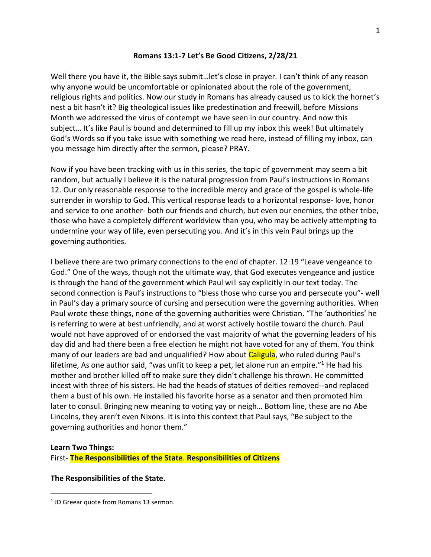### **Romans 13:1-7 Let's Be Good Citizens, 2/28/21**

Well there you have it, the Bible says submit…let's close in prayer. I can't think of any reason why anyone would be uncomfortable or opinionated about the role of the government, religious rights and politics. Now our study in Romans has already caused us to kick the hornet's nest a bit hasn't it? Big theological issues like predestination and freewill, before Missions Month we addressed the virus of contempt we have seen in our country. And now this subject… It's like Paul is bound and determined to fill up my inbox this week! But ultimately God's Words so if you take issue with something we read here, instead of filling my inbox, can you message him directly after the sermon, please? PRAY.

Now if you have been tracking with us in this series, the topic of government may seem a bit random, but actually I believe it is the natural progression from Paul's instructions in Romans 12. Our only reasonable response to the incredible mercy and grace of the gospel is whole-life surrender in worship to God. This vertical response leads to a horizontal response- love, honor and service to one another- both our friends and church, but even our enemies, the other tribe, those who have a completely different worldview than you, who may be actively attempting to undermine your way of life, even persecuting you. And it's in this vein Paul brings up the governing authorities.

I believe there are two primary connections to the end of chapter. 12:19 "Leave vengeance to God." One of the ways, though not the ultimate way, that God executes vengeance and justice is through the hand of the government which Paul will say explicitly in our text today. The second connection is Paul's instructions to "bless those who curse you and persecute you"- well in Paul's day a primary source of cursing and persecution were the governing authorities. When Paul wrote these things, none of the governing authorities were Christian. "The 'authorities' he is referring to were at best unfriendly, and at worst actively hostile toward the church. Paul would not have approved of or endorsed the vast majority of what the governing leaders of his day did and had there been a free election he might not have voted for any of them. You think many of our leaders are bad and unqualified? How about Caligula, who ruled during Paul's lifetime, As one author said, "was unfit to keep a pet, let alone run an empire."<sup>1</sup> He had his mother and brother killed off to make sure they didn't challenge his thrown. He committed incest with three of his sisters. He had the heads of statues of deities removed--and replaced them a bust of his own. He installed his favorite horse as a senator and then promoted him later to consul. Bringing new meaning to voting yay or neigh… Bottom line, these are no Abe Lincolns, they aren't even Nixons. It is into this context that Paul says, "Be subject to the governing authorities and honor them."

### **Learn Two Things:**

First- **The Responsibilities of the State**. **Responsibilities of Citizens**

### **The Responsibilities of the State.**

<sup>&</sup>lt;sup>1</sup> JD Greear quote from Romans 13 sermon.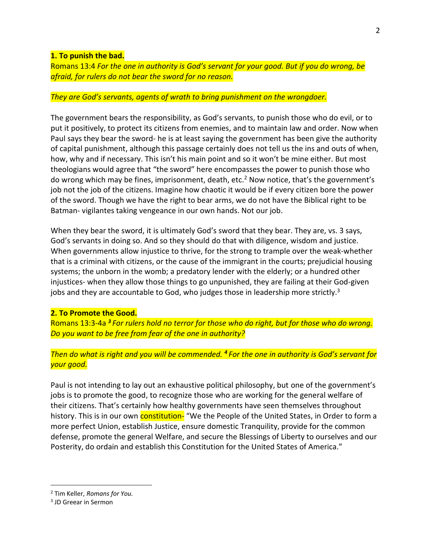#### **1. To punish the bad.**

Romans 13:4 *For the one in authority is God's servant for your good. But if you do wrong, be afraid, for rulers do not bear the sword for no reason.* 

### *They are God's servants, agents of wrath to bring punishment on the wrongdoer.*

The government bears the responsibility, as God's servants, to punish those who do evil, or to put it positively, to protect its citizens from enemies, and to maintain law and order. Now when Paul says they bear the sword- he is at least saying the government has been give the authority of capital punishment, although this passage certainly does not tell us the ins and outs of when, how, why and if necessary. This isn't his main point and so it won't be mine either. But most theologians would agree that "the sword" here encompasses the power to punish those who do wrong which may be fines, imprisonment, death, etc.<sup>2</sup> Now notice, that's the government's job not the job of the citizens. Imagine how chaotic it would be if every citizen bore the power of the sword. Though we have the right to bear arms, we do not have the Biblical right to be Batman- vigilantes taking vengeance in our own hands. Not our job.

When they bear the sword, it is ultimately God's sword that they bear. They are, vs. 3 says, God's servants in doing so. And so they should do that with diligence, wisdom and justice. When governments allow injustice to thrive, for the strong to trample over the weak-whether that is a criminal with citizens, or the cause of the immigrant in the courts; prejudicial housing systems; the unborn in the womb; a predatory lender with the elderly; or a hundred other injustices- when they allow those things to go unpunished, they are failing at their God-given jobs and they are accountable to God, who judges those in leadership more strictly. $3$ 

### **2. To Promote the Good.**

Romans 13:3-4a *<sup>3</sup> For rulers hold no terror for those who do right, but for those who do wrong. Do you want to be free from fear of the one in authority?* 

## *Then do what is right and you will be commended. <sup>4</sup> For the one in authority is God's servant for your good.*

Paul is not intending to lay out an exhaustive political philosophy, but one of the government's jobs is to promote the good, to recognize those who are working for the general welfare of their citizens. That's certainly how healthy governments have seen themselves throughout history. This is in our own **constitution-** "We the People of the United States, in Order to form a more perfect Union, establish Justice, ensure domestic Tranquility, provide for the common defense, promote the general Welfare, and secure the Blessings of Liberty to ourselves and our Posterity, do ordain and establish this Constitution for the United States of America."

<sup>2</sup> Tim Keller, *Romans for You.*

<sup>3</sup> JD Greear in Sermon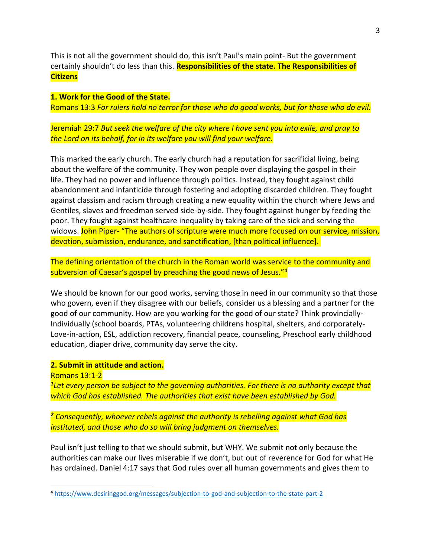This is not all the government should do, this isn't Paul's main point- But the government certainly shouldn't do less than this. **Responsibilities of the state. The Responsibilities of Citizens**

**1. Work for the Good of the State.** Romans 13:3 *For rulers hold no terror for those who do good works, but for those who do evil.*

Jeremiah 29:7 *But seek the welfare of the city where I have sent you into exile, and pray to the Lord on its behalf, for in its welfare you will find your welfare.*

This marked the early church. The early church had a reputation for sacrificial living, being about the welfare of the community. They won people over displaying the gospel in their life. They had no power and influence through politics. Instead, they fought against child abandonment and infanticide through fostering and adopting discarded children. They fought against classism and racism through creating a new equality within the church where Jews and Gentiles, slaves and freedman served side-by-side. They fought against hunger by feeding the poor. They fought against healthcare inequality by taking care of the sick and serving the widows. John Piper- "The authors of scripture were much more focused on our service, mission, devotion, submission, endurance, and sanctification, [than political influence].

The defining orientation of the church in the Roman world was service to the community and subversion of Caesar's gospel by preaching the good news of Jesus."<sup>4</sup>

We should be known for our good works, serving those in need in our community so that those who govern, even if they disagree with our beliefs, consider us a blessing and a partner for the good of our community. How are you working for the good of our state? Think provincially-Individually (school boards, PTAs, volunteering childrens hospital, shelters, and corporately-Love-in-action, ESL, addiction recovery, financial peace, counseling, Preschool early childhood education, diaper drive, community day serve the city.

### **2. Submit in attitude and action.**

Romans 13:1-2

*1 Let every person be subject to the governing authorities. For there is no authority except that which God has established. The authorities that exist have been established by God.* 

*<sup>2</sup> Consequently, whoever rebels against the authority is rebelling against what God has instituted, and those who do so will bring judgment on themselves.*

Paul isn't just telling to that we should submit, but WHY. We submit not only because the authorities can make our lives miserable if we don't, but out of reverence for God for what He has ordained. Daniel 4:17 says that God rules over all human governments and gives them to

<sup>4</sup> <https://www.desiringgod.org/messages/subjection-to-god-and-subjection-to-the-state-part-2>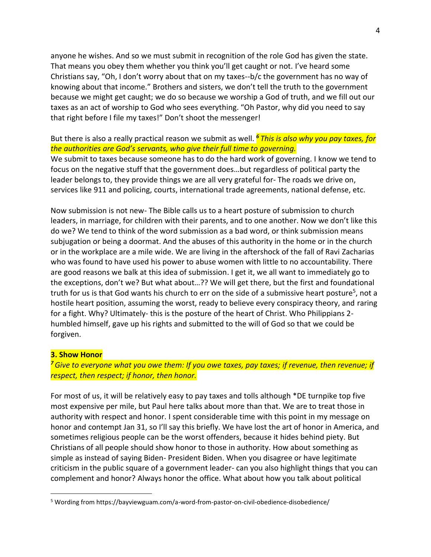anyone he wishes. And so we must submit in recognition of the role God has given the state. That means you obey them whether you think you'll get caught or not. I've heard some Christians say, "Oh, I don't worry about that on my taxes--b/c the government has no way of knowing about that income." Brothers and sisters, we don't tell the truth to the government because we might get caught; we do so because we worship a God of truth, and we fill out our taxes as an act of worship to God who sees everything. "Oh Pastor, why did you need to say that right before I file my taxes!" Don't shoot the messenger!

## But there is also a really practical reason we submit as well. *<sup>6</sup> This is also why you pay taxes, for the authorities are God's servants, who give their full time to governing.*

We submit to taxes because someone has to do the hard work of governing. I know we tend to focus on the negative stuff that the government does…but regardless of political party the leader belongs to, they provide things we are all very grateful for- The roads we drive on, services like 911 and policing, courts, international trade agreements, national defense, etc.

Now submission is not new- The Bible calls us to a heart posture of submission to church leaders, in marriage, for children with their parents, and to one another. Now we don't like this do we? We tend to think of the word submission as a bad word, or think submission means subjugation or being a doormat. And the abuses of this authority in the home or in the church or in the workplace are a mile wide. We are living in the aftershock of the fall of Ravi Zacharias who was found to have used his power to abuse women with little to no accountability. There are good reasons we balk at this idea of submission. I get it, we all want to immediately go to the exceptions, don't we? But what about…?? We will get there, but the first and foundational truth for us is that God wants his church to err on the side of a submissive heart posture<sup>5</sup>, not a hostile heart position, assuming the worst, ready to believe every conspiracy theory, and raring for a fight. Why? Ultimately- this is the posture of the heart of Christ. Who Philippians 2 humbled himself, gave up his rights and submitted to the will of God so that we could be forgiven.

#### **3. Show Honor**

*<sup>7</sup>Give to everyone what you owe them: If you owe taxes, pay taxes; if revenue, then revenue; if respect, then respect; if honor, then honor.*

For most of us, it will be relatively easy to pay taxes and tolls although \*DE turnpike top five most expensive per mile, but Paul here talks about more than that. We are to treat those in authority with respect and honor. I spent considerable time with this point in my message on honor and contempt Jan 31, so I'll say this briefly. We have lost the art of honor in America, and sometimes religious people can be the worst offenders, because it hides behind piety. But Christians of all people should show honor to those in authority. How about something as simple as instead of saying Biden- President Biden. When you disagree or have legitimate criticism in the public square of a government leader- can you also highlight things that you can complement and honor? Always honor the office. What about how you talk about political

<sup>5</sup> Wording from https://bayviewguam.com/a-word-from-pastor-on-civil-obedience-disobedience/